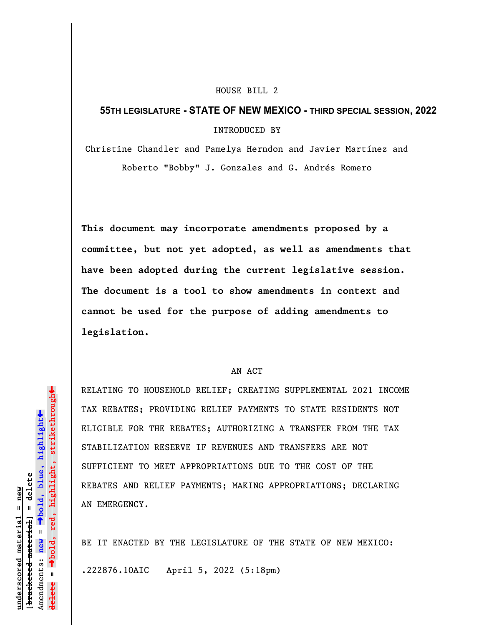## HOUSE BILL 2

## 55TH LEGISLATURE - STATE OF NEW MEXICO - THIRD SPECIAL SESSION, 2022

INTRODUCED BY

Christine Chandler and Pamelya Herndon and Javier Martínez and Roberto "Bobby" J. Gonzales and G. Andrés Romero

This document may incorporate amendments proposed by a committee, but not yet adopted, as well as amendments that have been adopted during the current legislative session. The document is a tool to show amendments in context and cannot be used for the purpose of adding amendments to legislation.

## AN ACT

TAX REBATES; PROVIDING RE<br>
ELIGIBLE FOR THE REBATES;<br>
STABILIZATION RESERVE IF<br>
STABILIZATION RESERVE IF<br>
STABILIZATION RESERVE IF<br>
STABILIZATION RESERVE IF<br>
STABILIZATION RESERVE IF<br>
STABILIZATION RESERVE IF<br>
STABILIZATIO RELATING TO HOUSEHOLD RELIEF; CREATING SUPPLEMENTAL 2021 INCOME TAX REBATES; PROVIDING RELIEF PAYMENTS TO STATE RESIDENTS NOT ELIGIBLE FOR THE REBATES; AUTHORIZING A TRANSFER FROM THE TAX STABILIZATION RESERVE IF REVENUES AND TRANSFERS ARE NOT SUFFICIENT TO MEET APPROPRIATIONS DUE TO THE COST OF THE REBATES AND RELIEF PAYMENTS; MAKING APPROPRIATIONS; DECLARING AN EMERGENCY.

BE IT ENACTED BY THE LEGISLATURE OF THE STATE OF NEW MEXICO:

.222876.10AIC April 5, 2022 (5:18pm)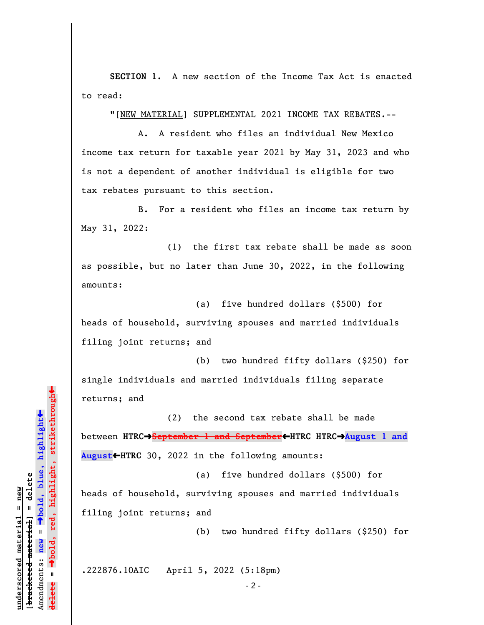SECTION 1. A new section of the Income Tax Act is enacted to read:

"[NEW MATERIAL] SUPPLEMENTAL 2021 INCOME TAX REBATES.--

A. A resident who files an individual New Mexico income tax return for taxable year 2021 by May 31, 2023 and who is not a dependent of another individual is eligible for two tax rebates pursuant to this section.

B. For a resident who files an income tax return by May 31, 2022:

(1) the first tax rebate shall be made as soon as possible, but no later than June 30, 2022, in the following amounts:

(a) five hundred dollars (\$500) for heads of household, surviving spouses and married individuals filing joint returns; and

(b) two hundred fifty dollars (\$250) for single individuals and married individuals filing separate returns; and

(2) the second tax rebate shall be made between HTRC<sup>+</sup>September 1 and September</u>+HTRC HTRC<sup>+</sup>August 1 and August HTRC 30, 2022 in the following amounts:

(a) five hundred dollars (\$500) for heads of household, surviving spouses and married individuals filing joint returns; and

(b) two hundred fifty dollars (\$250) for

.222876.10AIC April 5, 2022 (5:18pm)

 $-2 -$ 

returns; and<br>
letted material delete and<br>
between HTRC→September 1<br>
between HTRC→September 1<br>
August ← HTRC 30, 2022 in<br>
and<br>
and deleter and the proof the material<br>
filing joint returns; and<br>
the proof the proof of the p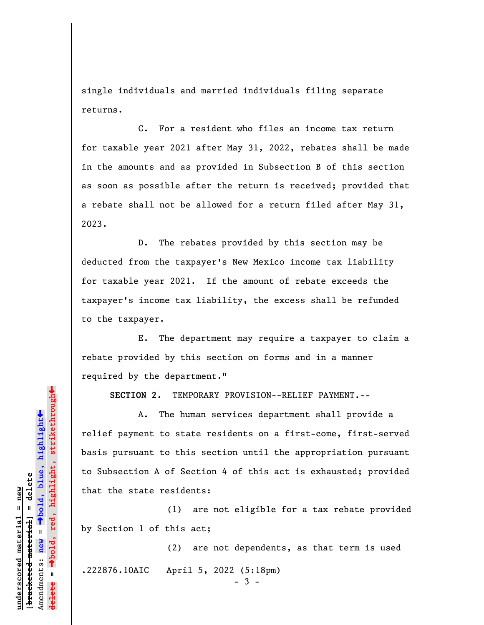single individuals and married individuals filing separate returns.

C. For a resident who files an income tax return for taxable year 2021 after May 31, 2022, rebates shall be made in the amounts and as provided in Subsection B of this section as soon as possible after the return is received; provided that a rebate shall not be allowed for a return filed after May 31, 2023.

D. The rebates provided by this section may be deducted from the taxpayer's New Mexico income tax liability for taxable year 2021. If the amount of rebate exceeds the taxpayer's income tax liability, the excess shall be refunded to the taxpayer.

E. The department may require a taxpayer to claim a rebate provided by this section on forms and in a manner required by the department."

SECTION 2. TEMPORARY PROVISION--RELIEF PAYMENT.--

bettries are the second material material experiences and that the state residents:<br>
and the deleteration of Section A of Section and the state residents:<br>
that the state residents:<br>
(1) are by Section 1 of this act;<br>
(2) A. The human services department shall provide a relief payment to state residents on a first-come, first-served basis pursuant to this section until the appropriation pursuant to Subsection A of Section 4 of this act is exhausted; provided that the state residents:

(1) are not eligible for a tax rebate provided by Section 1 of this act;

(2) are not dependents, as that term is used .222876.10AIC April 5, 2022 (5:18pm)  $-3 -$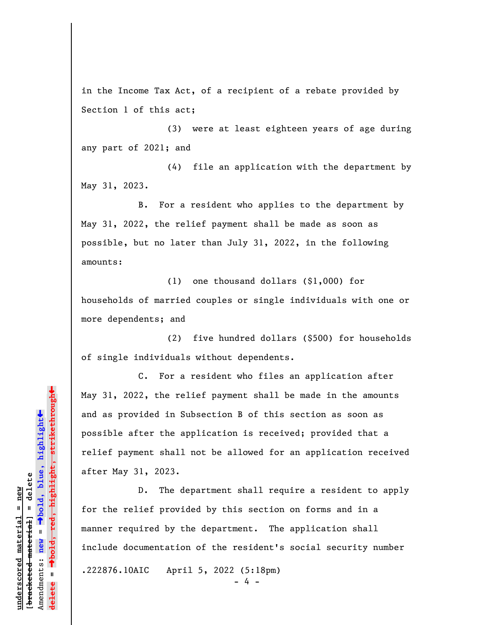in the Income Tax Act, of a recipient of a rebate provided by Section 1 of this act;

(3) were at least eighteen years of age during any part of 2021; and

(4) file an application with the department by May 31, 2023.

B. For a resident who applies to the department by May 31, 2022, the relief payment shall be made as soon as possible, but no later than July 31, 2022, in the following amounts:

(1) one thousand dollars (\$1,000) for households of married couples or single individuals with one or more dependents; and

(2) five hundred dollars (\$500) for households of single individuals without dependents.

C. For a resident who files an application after May 31, 2022, the relief payment shall be made in the amounts and as provided in Subsection B of this section as soon as possible after the application is received; provided that a relief payment shall not be allowed for an application received after May 31, 2023.

May 31, 2022, the relief<br>
and as provided in Subsec<br>
possible after the applic<br>
and as provided in Subsec<br>
possible after the applic<br>
relief payment shall not<br>
after May 31, 2023.<br>
D. The depart<br>
for the relief provided b<br> D. The department shall require a resident to apply for the relief provided by this section on forms and in a manner required by the department. The application shall include documentation of the resident's social security number .222876.10AIC April 5, 2022 (5:18pm) - 4 -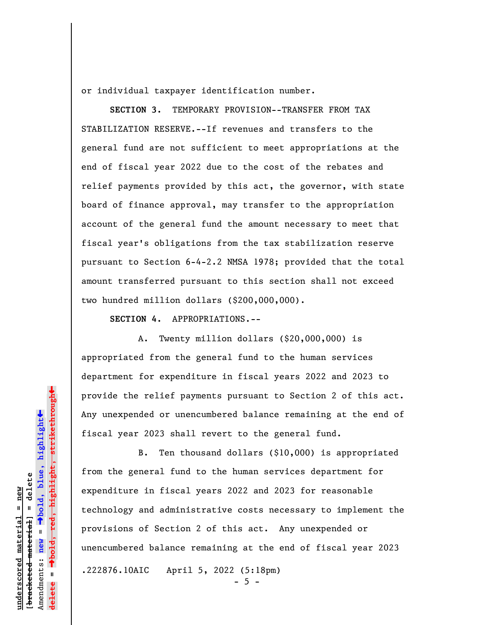or individual taxpayer identification number.

SECTION 3. TEMPORARY PROVISION--TRANSFER FROM TAX STABILIZATION RESERVE.--If revenues and transfers to the general fund are not sufficient to meet appropriations at the end of fiscal year 2022 due to the cost of the rebates and relief payments provided by this act, the governor, with state board of finance approval, may transfer to the appropriation account of the general fund the amount necessary to meet that fiscal year's obligations from the tax stabilization reserve pursuant to Section 6-4-2.2 NMSA 1978; provided that the total amount transferred pursuant to this section shall not exceed two hundred million dollars (\$200,000,000).

SECTION 4. APPROPRIATIONS.--

A. Twenty million dollars (\$20,000,000) is appropriated from the general fund to the human services department for expenditure in fiscal years 2022 and 2023 to provide the relief payments pursuant to Section 2 of this act. Any unexpended or unencumbered balance remaining at the end of fiscal year 2023 shall revert to the general fund.

provide the relief payment<br>
Any unexpended or unencum<br>
fiscal year 2023 shall re<br>
and the seneral fund to<br>
expenditure in fiscal year<br>
from the general fund to<br>
expenditure in fiscal yea<br>
technology and administra<br>
provisi B. Ten thousand dollars (\$10,000) is appropriated from the general fund to the human services department for expenditure in fiscal years 2022 and 2023 for reasonable technology and administrative costs necessary to implement the provisions of Section 2 of this act. Any unexpended or unencumbered balance remaining at the end of fiscal year 2023

.222876.10AIC April 5, 2022 (5:18pm)  $-5 -$